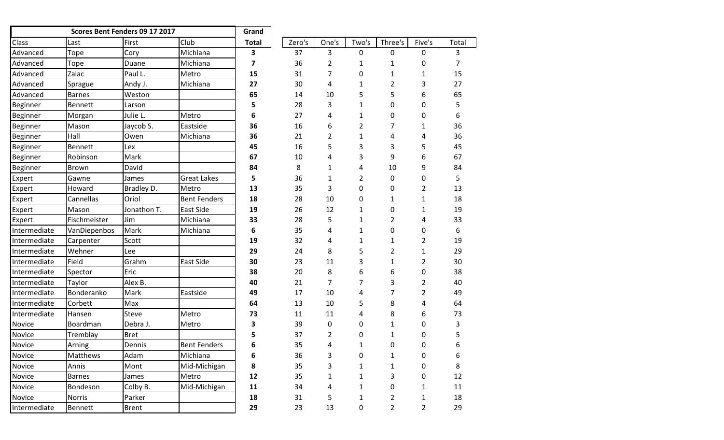| Scores Bent Fenders 09 17 2017 |                |              | Grand               |              |        |                |              |                |                |                  |
|--------------------------------|----------------|--------------|---------------------|--------------|--------|----------------|--------------|----------------|----------------|------------------|
| <b>Class</b>                   | Last           | First        | Club                | <b>Total</b> | Zero's | One's          | Two's        | Three's        | Five's         | Total            |
| Advanced                       | Tope           | Cory         | Michiana            | 3            | 37     | 3              | 0            | 0              | 0              | $\overline{3}$   |
| Advanced                       | Tope           | Duane        | Michiana            | 7            | 36     | $\overline{2}$ | 1            | 1              | 0              | $\overline{7}$   |
| Advanced                       | Zalac          | Paul L.      | Metro               | 15           | 31     | 7              | 0            | 1              | 1              | 15               |
| Advanced                       | Sprague        | Andy J.      | Michiana            | 27           | 30     | 4              | 1            | $\overline{2}$ | 3              | 27               |
| Advanced                       | <b>Barnes</b>  | Weston       |                     | 65           | 14     | 10             | 5            | 5              | 6              | 65               |
| Beginner                       | Bennett        | Larson       |                     | 5            | 28     | 3              | 1            | 0              | 0              | 5                |
| <b>Beginner</b>                | Morgan         | Julie L.     | Metro               | 6            | 27     | 4              | 1            | 0              | 0              | 6                |
| Beginner                       | Mason          | Jaycob S.    | Eastside            | 36           | 16     | 6              | 2            | 7              | 1              | 36               |
| Beginner                       | Hall           | Owen         | Michiana            | 36           | 21     | $\overline{2}$ | 1            | 4              | 4              | 36               |
| Beginner                       | <b>Bennett</b> | Lex          |                     | 45           | 16     | 5              | 3            | 3              | 5              | 45               |
| Beginner                       | Robinson       | Mark         |                     | 67           | 10     | 4              | 3            | 9              | 6              | 67               |
| Beginner                       | Brown          | David        |                     | 84           | 8      | 1              | 4            | 10             | 9              | 84               |
| Expert                         | Gawne          | James        | <b>Great Lakes</b>  | 5            | 36     | 1              | 2            | 0              | 0              | 5                |
| Expert                         | Howard         | Bradley D.   | Metro               | 13           | 35     | 3              | 0            | 0              | 2              | 13               |
| Expert                         | Cannellas      | Oriol        | <b>Bent Fenders</b> | 18           | 28     | 10             | 0            | 1              | 1              | 18               |
| Expert                         | Mason          | Jonathon T.  | East Side           | 19           | 26     | 12             | 1            | 0              | 1              | 19               |
| Expert                         | Fischmeister   | Jim          | Michiana            | 33           | 28     | 5              | 1            | $\overline{2}$ | 4              | 33               |
| Intermediate                   | VanDiepenbos   | Mark         | Michiana            | 6            | 35     | 4              | 1            | 0              | 0              | $\boldsymbol{6}$ |
| Intermediate                   | Carpenter      | Scott        |                     | 19           | 32     | 4              | 1            | 1              | 2              | 19               |
| Intermediate                   | Wehner         | Lee          |                     | 29           | 24     | 8              | 5            | $\overline{2}$ | 1              | 29               |
| Intermediate                   | Field          | Grahm        | East Side           | 30           | 23     | 11             | 3            | 1              | 2              | 30               |
| Intermediate                   | Spector        | Eric         |                     | 38           | 20     | 8              | 6            | 6              | 0              | 38               |
| Intermediate                   | Taylor         | Alex B.      |                     | 40           | 21     | 7              | 7            | 3              | 2              | 40               |
| Intermediate                   | Bonderanko     | Mark         | Eastside            | 49           | 17     | 10             | 4            | 7              | 2              | 49               |
| Intermediate                   | Corbett        | Max          |                     | 64           | 13     | 10             | 5            | 8              | 4              | 64               |
| Intermediate                   | Hansen         | Steve        | Metro               | 73           | 11     | 11             | 4            | 8              | 6              | 73               |
| Novice                         | Boardman       | Debra J.     | Metro               | 3            | 39     | 0              | 0            | 1              | 0              | 3                |
| Novice                         | Tremblay       | <b>Bret</b>  |                     | 5            | 37     | 2              | 0            | 1              | 0              | 5                |
| <b>Novice</b>                  | Arning         | Dennis       | <b>Bent Fenders</b> | 6            | 35     | 4              | 1            | 0              | 0              | 6                |
| Novice                         | Matthews       | Adam         | Michiana            | 6            | 36     | 3              | 0            | $\mathbf{1}$   | 0              | 6                |
| Novice                         | Annis          | Mont         | Mid-Michigan        | 8            | 35     | 3              | 1            | 1              | 0              | 8                |
| Novice                         | <b>Barnes</b>  | James        | Metro               | ${\bf 12}$   | 35     | 1              | $\mathbf{1}$ | 3              | 0              | 12               |
| Novice                         | Bondeson       | Colby B.     | Mid-Michigan        | 11           | 34     | 4              | 1            | 0              | 1              | 11               |
| Novice                         | <b>Norris</b>  | Parker       |                     | 18           | 31     | 5              | 1            | 2              | 1              | 18               |
| Intermediate                   | Bennett        | <b>Brent</b> |                     | 29           | 23     | 13             | 0            | $\overline{2}$ | $\overline{2}$ | 29               |